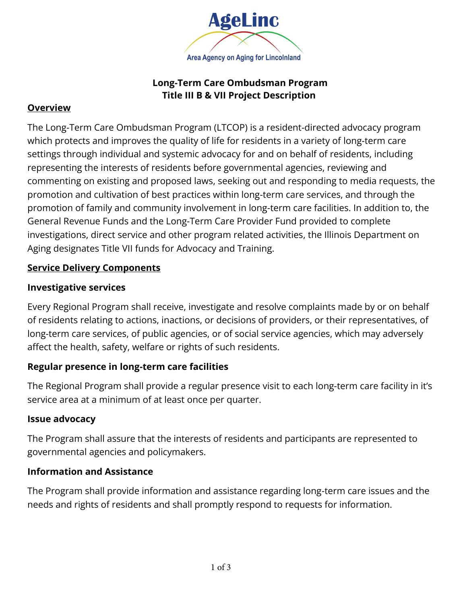

# **Long-Term Care Ombudsman Program Title III B & VII Project Description**

## **Overview**

The Long-Term Care Ombudsman Program (LTCOP) is a resident-directed advocacy program which protects and improves the quality of life for residents in a variety of long-term care settings through individual and systemic advocacy for and on behalf of residents, including representing the interests of residents before governmental agencies, reviewing and commenting on existing and proposed laws, seeking out and responding to media requests, the promotion and cultivation of best practices within long-term care services, and through the promotion of family and community involvement in long-term care facilities. In addition to, the General Revenue Funds and the Long-Term Care Provider Fund provided to complete investigations, direct service and other program related activities, the Illinois Department on Aging designates Title VII funds for Advocacy and Training.

### **Service Delivery Components**

### **Investigative services**

Every Regional Program shall receive, investigate and resolve complaints made by or on behalf of residents relating to actions, inactions, or decisions of providers, or their representatives, of long-term care services, of public agencies, or of social service agencies, which may adversely affect the health, safety, welfare or rights of such residents.

## **Regular presence in long-term care facilities**

The Regional Program shall provide a regular presence visit to each long-term care facility in it's service area at a minimum of at least once per quarter.

#### **Issue advocacy**

The Program shall assure that the interests of residents and participants are represented to governmental agencies and policymakers.

## **Information and Assistance**

The Program shall provide information and assistance regarding long-term care issues and the needs and rights of residents and shall promptly respond to requests for information.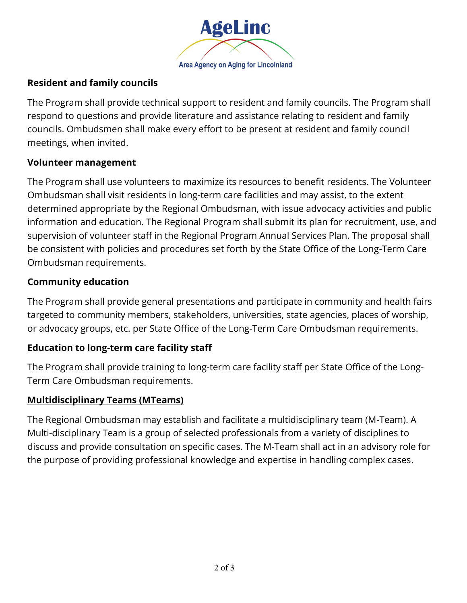

# **Resident and family councils**

The Program shall provide technical support to resident and family councils. The Program shall respond to questions and provide literature and assistance relating to resident and family councils. Ombudsmen shall make every effort to be present at resident and family council meetings, when invited.

### **Volunteer management**

The Program shall use volunteers to maximize its resources to benefit residents. The Volunteer Ombudsman shall visit residents in long-term care facilities and may assist, to the extent determined appropriate by the Regional Ombudsman, with issue advocacy activities and public information and education. The Regional Program shall submit its plan for recruitment, use, and supervision of volunteer staff in the Regional Program Annual Services Plan. The proposal shall be consistent with policies and procedures set forth by the State Office of the Long-Term Care Ombudsman requirements.

## **Community education**

The Program shall provide general presentations and participate in community and health fairs targeted to community members, stakeholders, universities, state agencies, places of worship, or advocacy groups, etc. per State Office of the Long-Term Care Ombudsman requirements.

## **Education to long-term care facility staff**

The Program shall provide training to long-term care facility staff per State Office of the Long-Term Care Ombudsman requirements.

## **Multidisciplinary Teams (MTeams)**

The Regional Ombudsman may establish and facilitate a multidisciplinary team (M-Team). A Multi-disciplinary Team is a group of selected professionals from a variety of disciplines to discuss and provide consultation on specific cases. The M-Team shall act in an advisory role for the purpose of providing professional knowledge and expertise in handling complex cases.